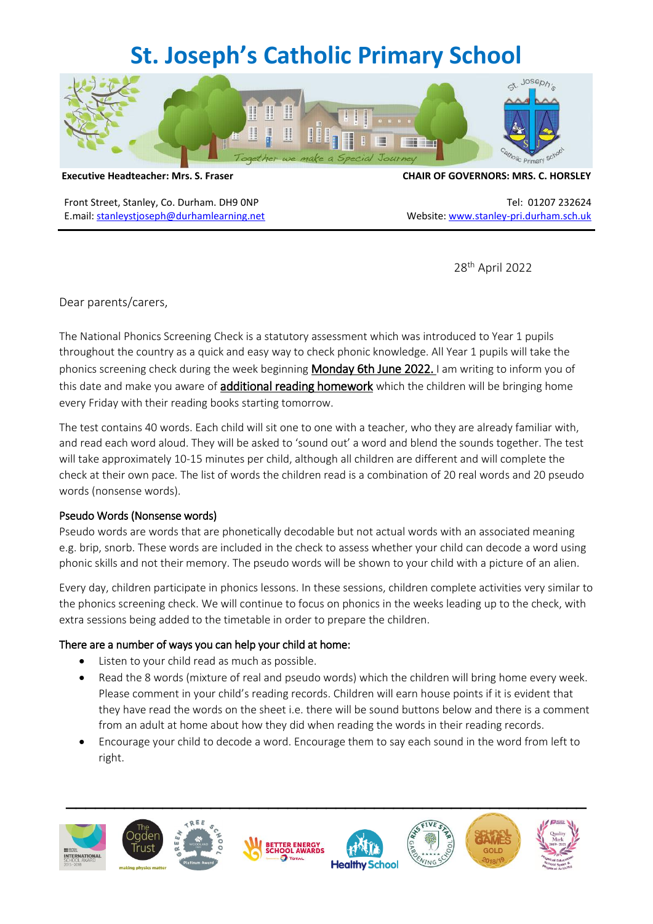# **St. Joseph's Catholic Primary School**



Front Street, Stanley, Co. Durham. DH9 0NP Tel: 01207 232624 E.mail: [stanleystjoseph@durhamlearning.net](mailto:stanleystjoseph@durhamlearning.net) Website[: www.stanley-pri.durham.sch.uk](http://www.stanley-pri.durham.sch.uk/)

#### **Executive Headteacher: Mrs. S. Fraser CHAIR OF GOVERNORS: MRS. C. HORSLEY**

28th April 2022

Dear parents/carers,

The National Phonics Screening Check is a statutory assessment which was introduced to Year 1 pupils throughout the country as a quick and easy way to check phonic knowledge. All Year 1 pupils will take the phonics screening check during the week beginning Monday 6th June 2022. I am writing to inform you of this date and make you aware of **additional reading homework** which the children will be bringing home every Friday with their reading books starting tomorrow.

The test contains 40 words. Each child will sit one to one with a teacher, who they are already familiar with, and read each word aloud. They will be asked to 'sound out' a word and blend the sounds together. The test will take approximately 10-15 minutes per child, although all children are different and will complete the check at their own pace. The list of words the children read is a combination of 20 real words and 20 pseudo words (nonsense words).

### Pseudo Words (Nonsense words)

Pseudo words are words that are phonetically decodable but not actual words with an associated meaning e.g. brip, snorb. These words are included in the check to assess whether your child can decode a word using phonic skills and not their memory. The pseudo words will be shown to your child with a picture of an alien.

Every day, children participate in phonics lessons. In these sessions, children complete activities very similar to the phonics screening check. We will continue to focus on phonics in the weeks leading up to the check, with extra sessions being added to the timetable in order to prepare the children.

### There are a number of ways you can help your child at home:

- Listen to your child read as much as possible.
- Read the 8 words (mixture of real and pseudo words) which the children will bring home every week. Please comment in your child's reading records. Children will earn house points if it is evident that they have read the words on the sheet i.e. there will be sound buttons below and there is a comment from an adult at home about how they did when reading the words in their reading records.
- Encourage your child to decode a word. Encourage them to say each sound in the word from left to right.